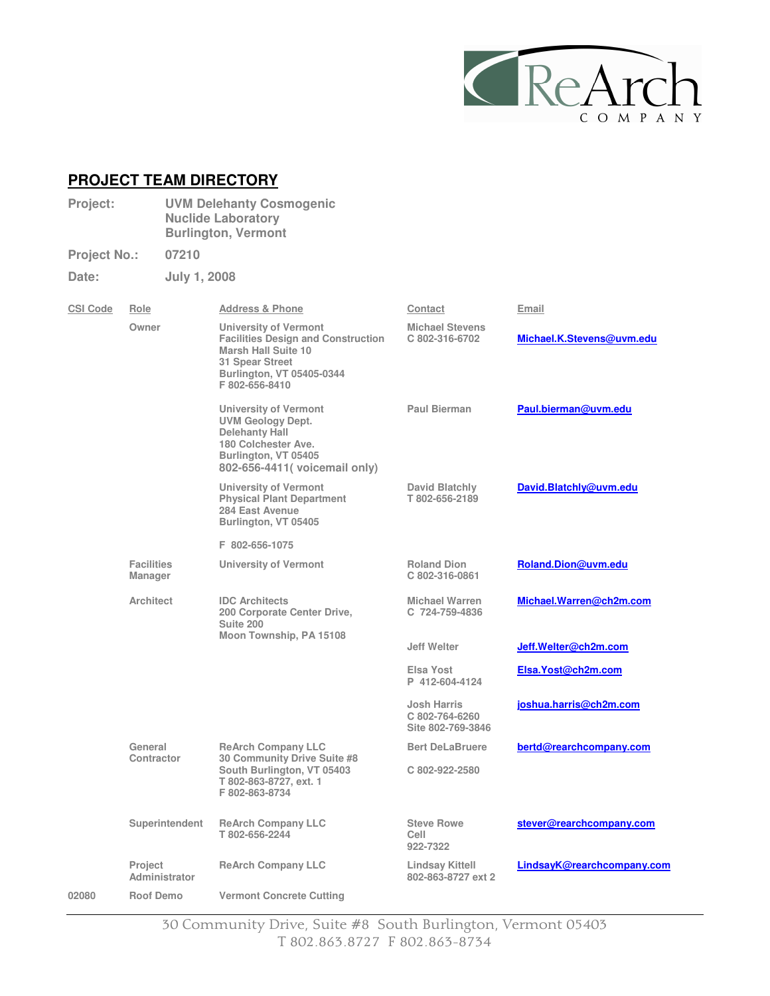

## **PROJECT TEAM DIRECTORY**

- **Project: UVM Delehanty Cosmogenic Nuclide Laboratory Burlington, Vermont**
- **Project No.: 07210 Date: July 1, 2008**

| <b>CSI Code</b> | Role                            | <b>Address &amp; Phone</b>                                                                                                                                         | Contact                                            | Email                             |
|-----------------|---------------------------------|--------------------------------------------------------------------------------------------------------------------------------------------------------------------|----------------------------------------------------|-----------------------------------|
|                 | Owner                           | University of Vermont<br><b>Facilities Design and Construction</b><br><b>Marsh Hall Suite 10</b><br>31 Spear Street<br>Burlington, VT 05405-0344<br>F 802-656-8410 | <b>Michael Stevens</b><br>C 802-316-6702           | Michael.K.Stevens@uvm.edu         |
|                 |                                 | <b>University of Vermont</b><br><b>UVM Geology Dept.</b><br><b>Delehanty Hall</b><br>180 Colchester Ave.<br>Burlington, VT 05405<br>802-656-4411 (voicemail only)  | Paul Bierman                                       | Paul.bierman@uvm.edu              |
|                 |                                 | University of Vermont<br><b>Physical Plant Department</b><br>284 East Avenue<br>Burlington, VT 05405                                                               | David Blatchly<br>T802-656-2189                    | David.Blatchly@uvm.edu            |
|                 |                                 | F 802-656-1075                                                                                                                                                     |                                                    |                                   |
|                 | <b>Facilities</b><br>Manager    | University of Vermont                                                                                                                                              | <b>Roland Dion</b><br>C 802-316-0861               | Roland.Dion@uvm.edu               |
|                 | <b>Architect</b>                | <b>IDC Architects</b><br>200 Corporate Center Drive,<br>Suite 200                                                                                                  | <b>Michael Warren</b><br>C 724-759-4836            | Michael.Warren@ch2m.com           |
|                 |                                 | Moon Township, PA 15108                                                                                                                                            | <b>Jeff Welter</b>                                 | Jeff.Welter@ch2m.com              |
|                 |                                 |                                                                                                                                                                    | Elsa Yost<br>P 412-604-4124                        | Elsa.Yost@ch2m.com                |
|                 |                                 |                                                                                                                                                                    | Josh Harris<br>C 802-764-6260<br>Site 802-769-3846 | joshua.harris@ch2m.com            |
|                 | General                         | <b>ReArch Company LLC</b>                                                                                                                                          | <b>Bert DeLaBruere</b>                             | bertd@rearchcompany.com           |
|                 | Contractor                      | 30 Community Drive Suite #8<br>South Burlington, VT 05403<br>T 802-863-8727, ext. 1<br>F 802-863-8734                                                              | C 802-922-2580                                     |                                   |
|                 | Superintendent                  | <b>ReArch Company LLC</b><br>T 802-656-2244                                                                                                                        | <b>Steve Rowe</b><br>Cell<br>922-7322              | stever@rearchcompany.com          |
|                 | <b>Project</b><br>Administrator | <b>ReArch Company LLC</b>                                                                                                                                          | Lindsay Kittell<br>802-863-8727 ext 2              | <u>LindsayK@rearchcompany.com</u> |
| 02080           | <b>Roof Demo</b>                | <b>Vermont Concrete Cutting</b>                                                                                                                                    |                                                    |                                   |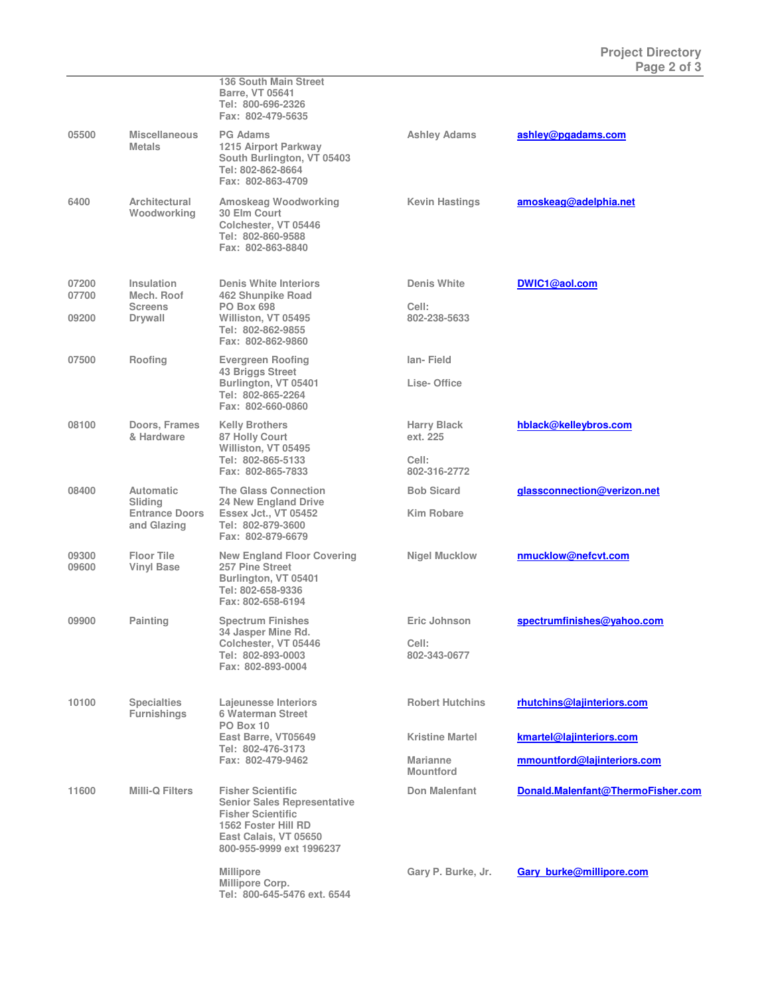|                |                                            | 136 South Main Street<br><b>Barre, VT 05641</b><br>Tel: 800-696-2326<br>Fax: 802-479-5635                                                                              |                                     |                                   |
|----------------|--------------------------------------------|------------------------------------------------------------------------------------------------------------------------------------------------------------------------|-------------------------------------|-----------------------------------|
| 05500          | <b>Miscellaneous</b><br><b>Metals</b>      | <b>PG Adams</b><br>1215 Airport Parkway<br>South Burlington, VT 05403<br>Tel: 802-862-8664<br>Fax: 802-863-4709                                                        | <b>Ashley Adams</b>                 | ashley@pgadams.com                |
| 6400           | Architectural<br>Woodworking               | <b>Amoskeag Woodworking</b><br>30 Elm Court<br>Colchester, VT 05446<br>Tel: 802-860-9588<br>Fax: 802-863-8840                                                          | <b>Kevin Hastings</b>               | amoskeag@adelphia.net             |
| 07200<br>07700 | Insulation<br>Mech. Roof<br><b>Screens</b> | <b>Denis White Interiors</b><br>462 Shunpike Road<br><b>PO Box 698</b>                                                                                                 | <b>Denis White</b><br>Cell:         | DWIC1@aol.com                     |
| 09200          | Drywall                                    | Williston, VT 05495<br>Tel: 802-862-9855<br>Fax: 802-862-9860                                                                                                          | 802-238-5633                        |                                   |
| 07500          | Roofing                                    | <b>Evergreen Roofing</b><br><b>43 Briggs Street</b>                                                                                                                    | lan-Field                           |                                   |
|                |                                            | Burlington, VT 05401<br>Tel: 802-865-2264<br>Fax: 802-660-0860                                                                                                         | Lise-Office                         |                                   |
| 08100          | <b>Doors, Frames</b><br>& Hardware         | <b>Kelly Brothers</b><br>87 Holly Court<br>Williston, VT 05495                                                                                                         | <b>Harry Black</b><br>ext. 225      | hblack@kelleybros.com             |
|                |                                            | Tel: 802-865-5133<br>Fax: 802-865-7833                                                                                                                                 | Cell:<br>802-316-2772               |                                   |
| 08400          | <b>Automatic</b><br>Sliding                | <b>The Glass Connection</b><br>24 New England Drive                                                                                                                    | <b>Bob Sicard</b>                   | glassconnection@verizon.net       |
|                | <b>Entrance Doors</b><br>and Glazing       | <b>Essex Jct., VT 05452</b><br>Tel: 802-879-3600<br>Fax: 802-879-6679                                                                                                  | <b>Kim Robare</b>                   |                                   |
| 09300<br>09600 | <b>Floor Tile</b><br><b>Vinyl Base</b>     | <b>New England Floor Covering</b><br>257 Pine Street<br>Burlington, VT 05401<br>Tel: 802-658-9336<br>Fax: 802-658-6194                                                 | <b>Nigel Mucklow</b>                | nmucklow@nefcvt.com               |
| 09900          | Painting                                   | <b>Spectrum Finishes</b><br>34 Jasper Mine Rd.                                                                                                                         | Eric Johnson                        | spectrumfinishes@yahoo.com        |
|                |                                            | Colchester, VT 05446<br>Tel: 802-893-0003<br>Fax: 802-893-0004                                                                                                         | Cell:<br>802-343-0677               |                                   |
| 10100          | <b>Specialties</b><br><b>Furnishings</b>   | Lajeunesse Interiors<br><b>6 Waterman Street</b><br>PO Box 10                                                                                                          | <b>Robert Hutchins</b>              | rhutchins@lajinteriors.com        |
|                |                                            | East Barre, VT05649<br>Tel: 802-476-3173<br>Fax: 802-479-9462                                                                                                          | <b>Kristine Martel</b>              | kmartel@lajinteriors.com          |
|                |                                            |                                                                                                                                                                        | <b>Marianne</b><br><b>Mountford</b> | mmountford@lajinteriors.com       |
| 11600          | <b>Milli-Q Filters</b>                     | <b>Fisher Scientific</b><br><b>Senior Sales Representative</b><br><b>Fisher Scientific</b><br>1562 Foster Hill RD<br>East Calais, VT 05650<br>800-955-9999 ext 1996237 | <b>Don Malenfant</b>                | Donald.Malenfant@ThermoFisher.com |
|                |                                            | <b>Millipore</b><br>Millipore Corp.<br>Tel: 800-645-5476 ext. 6544                                                                                                     | Gary P. Burke, Jr.                  | <b>Gary burke@millipore.com</b>   |